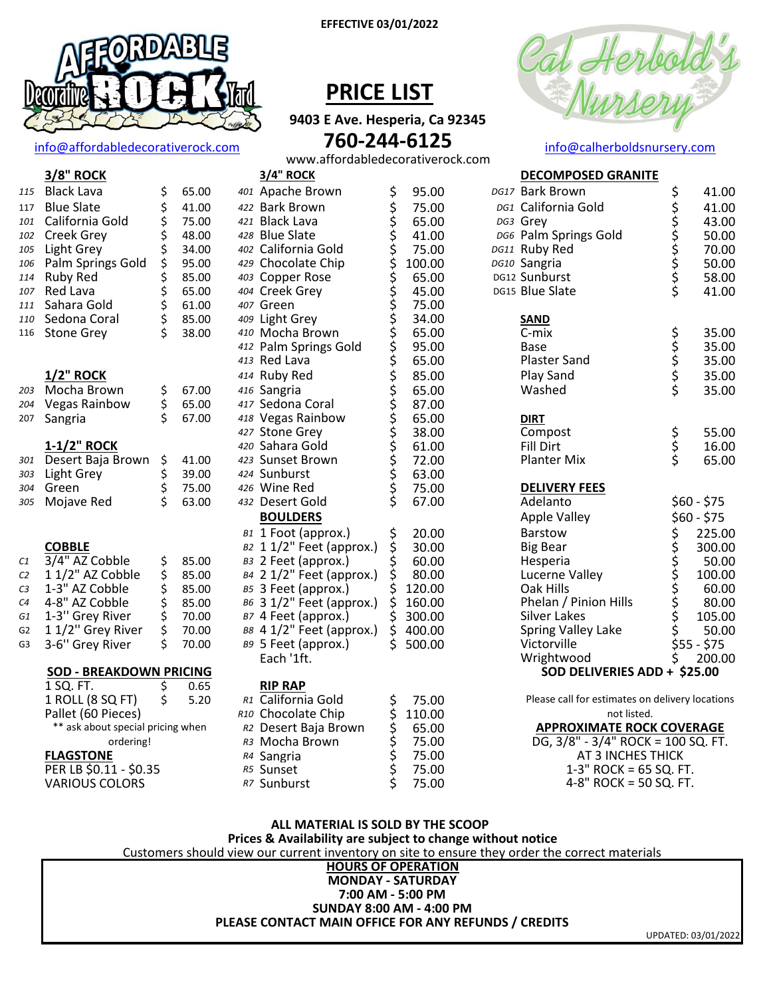

info@affordabledecorativerock.com

3/8" ROCK

| 115     | <b>Black Lava</b>              | \$             | 65.00          |  |
|---------|--------------------------------|----------------|----------------|--|
| 117     | <b>Blue Slate</b>              |                | 41.00          |  |
| 101     | California Gold                | ぐうさくさい         | 75.00          |  |
| 102     | Creek Grey                     |                | 48.00          |  |
| 105     | Light Grey                     |                | 34.00          |  |
| 106     | Palm Springs Gold              |                | 95.00          |  |
| 114     | <b>Ruby Red</b>                |                | 85.00          |  |
| 107     | Red Lava                       |                | 65.00          |  |
| 111     | Sahara Gold                    |                | 61.00          |  |
| 110     | Sedona Coral                   |                | 85.00          |  |
| 116     | <b>Stone Grey</b>              |                | 38.00          |  |
|         |                                |                |                |  |
|         |                                |                |                |  |
| 203     | 1/2" ROCK<br>Mocha Brown       |                |                |  |
| 204     | <b>Vegas Rainbow</b>           | \$<br>\$<br>\$ | 67.00<br>65.00 |  |
| 207     | Sangria                        |                | 67.00          |  |
|         |                                |                |                |  |
|         | <u>1-1/2" ROCK</u>             |                |                |  |
| 301     | Desert Baja Brown              |                | 41.00          |  |
| 303     | Light Grey                     | \$ \$ \$ \$    | 39.00          |  |
| 304     | Green                          |                | 75.00          |  |
| 305     | Mojave Red                     |                | 63.00          |  |
|         |                                |                |                |  |
|         |                                |                |                |  |
|         | <b>COBBLE</b>                  |                |                |  |
| $c_{1}$ | 3/4" AZ Cobble                 |                | 85.00          |  |
| C2      | 1 1/2" AZ Cobble               |                | 85.00          |  |
| CЗ      | 1-3" AZ Cobble                 |                | 85.00          |  |
| C4      | 4-8" AZ Cobble                 |                | 85.00          |  |
| G1      | 1-3" Grey River                |                | 70.00          |  |
| G2      | 1 1/2" Grey River              | やみやみや          | 70.00          |  |
| G3      | 3-6" Grey River                |                | 70.00          |  |
|         | <b>SOD - BREAKDOWN PRICING</b> |                |                |  |
|         |                                |                |                |  |

1 SQ. FT.

**FLAGSTONE** 

1 ROLL (8 SQ FT)

Pallet (60 Pieces)

PER LB \$0.11 - \$0.35

**VARIOUS COLORS** 

#### **EFFECTIVE 03/01/2022**

### **PRICE LIST**

9403 E Ave. Hesperia, Ca 92345 760-244-6125



#### info@calherboldsnursery.com

**DECOMPOSED GRANITE** 

www.affordabledecorativerock.com 3/4" ROCK

| lack Lava                                 |                | 65.00 |  | 401 Apache Brown         |                         | 95.00  |  |
|-------------------------------------------|----------------|-------|--|--------------------------|-------------------------|--------|--|
| lue Slate                                 | やややややややややや     | 41.00 |  | 422 Bark Brown           | や ややややそややややそうそうそうそうそうそう | 75.00  |  |
| alifornia Gold                            |                | 75.00 |  | 421 Black Lava           |                         | 65.00  |  |
| reek Grey                                 |                | 48.00 |  | 428 Blue Slate           |                         | 41.00  |  |
| ight Grey                                 |                | 34.00 |  | 402 California Gold      |                         | 75.00  |  |
| alm Springs Gold                          |                | 95.00 |  | 429 Chocolate Chip       |                         | 100.00 |  |
| uby Red                                   |                | 85.00 |  | 403 Copper Rose          |                         | 65.00  |  |
| ed Lava                                   |                | 65.00 |  | 404 Creek Grey           |                         | 45.00  |  |
| ahara Gold                                |                | 61.00 |  | 407 Green                |                         | 75.00  |  |
| edona Coral                               |                | 85.00 |  | 409 Light Grey           |                         | 34.00  |  |
| tone Grey                                 |                | 38.00 |  | 410 Mocha Brown          |                         | 65.00  |  |
|                                           |                |       |  | 412 Palm Springs Gold    |                         | 95.00  |  |
|                                           |                |       |  | 413 Red Lava             |                         | 65.00  |  |
| /2" ROCK                                  |                |       |  | 414 Ruby Red             |                         | 85.00  |  |
| <b>1ocha Brown</b>                        |                | 67.00 |  | 416 Sangria              |                         | 65.00  |  |
| egas Rainbow                              | \$<br>\$<br>\$ | 65.00 |  | 417 Sedona Coral         |                         | 87.00  |  |
| angria                                    |                | 67.00 |  | 418 Vegas Rainbow        |                         | 65.00  |  |
|                                           |                |       |  | 427 Stone Grey           |                         | 38.00  |  |
| -1/2" ROCK                                |                |       |  | 420 Sahara Gold          |                         | 61.00  |  |
| esert Baja Brown                          |                | 41.00 |  | 423 Sunset Brown         |                         | 72.00  |  |
| ight Grey                                 | さらさ            | 39.00 |  | 424 Sunburst             |                         | 63.00  |  |
| ireen                                     |                | 75.00 |  | 426 Wine Red             |                         | 75.00  |  |
| lojave Red                                |                | 63.00 |  | 432 Desert Gold          |                         | 67.00  |  |
|                                           |                |       |  | <b>BOULDERS</b>          |                         |        |  |
|                                           |                |       |  | B1 1 Foot (approx.)      |                         | 20.00  |  |
| <b>OBBLE</b>                              |                |       |  | B2 11/2" Feet (approx.)  | ぐうらくりょう                 | 30.00  |  |
| /4" AZ Cobble                             |                | 85.00 |  | вз 2 Feet (approx.)      |                         | 60.00  |  |
| 1/2" AZ Cobble                            | やみやみや          | 85.00 |  | в4 2 1/2" Feet (approx.) |                         | 80.00  |  |
| -3" AZ Cobble                             |                | 85.00 |  | B5 3 Feet (approx.)      |                         | 120.00 |  |
| -8" AZ Cobble                             |                | 85.00 |  | в6 3 1/2" Feet (approx.) |                         | 160.00 |  |
| -3" Grey River                            |                | 70.00 |  | B7 4 Feet (approx.)      |                         | 300.00 |  |
| 1/2" Grey River                           |                | 70.00 |  | в 41/2" Feet (approx.)   |                         | 400.00 |  |
| -6" Grey River                            | .<br>\$        | 70.00 |  | B9 5 Feet (approx.)      | Ś                       | 500.00 |  |
|                                           |                |       |  | Each '1ft.               |                         |        |  |
| <b>OD - BREAKDOWN PRICING</b>             |                |       |  |                          |                         |        |  |
| SQ. FT.                                   | \$             | 0.65  |  | <b>RIP RAP</b>           |                         |        |  |
| ROLL (8 SQ FT)                            | \$             | 5.20  |  | R1 California Gold       |                         | 75.00  |  |
| allet (60 Pieces)                         |                |       |  | R10 Chocolate Chip       |                         | 110.00 |  |
| ** ask about special pricing when         |                |       |  | R2 Desert Baja Brown     |                         | 65.00  |  |
| ordering!                                 |                |       |  | R3 Mocha Brown           | やややややや                  | 75.00  |  |
| <b>LAGSTONE</b>                           |                |       |  | R4 Sangria               |                         | 75.00  |  |
| $\overline{\text{ER}}$ LB \$0.11 - \$0.35 |                |       |  | R5 Sunset                |                         | 75.00  |  |
| <b>ARIOUS COLORS</b>                      |                |       |  | R7 Sunburst              |                         | 75.00  |  |
|                                           |                |       |  |                          |                         |        |  |

| DG17 Bark Brown              |            | 41.00                                                                                                                                                                                                                                       |
|------------------------------|------------|---------------------------------------------------------------------------------------------------------------------------------------------------------------------------------------------------------------------------------------------|
| DG1 California Gold          | ややややややや    | 41.00                                                                                                                                                                                                                                       |
| DG3 Grey                     |            | 43.00                                                                                                                                                                                                                                       |
| DG6 Palm Springs Gold        |            | 50.00                                                                                                                                                                                                                                       |
| DG11 Ruby Red                |            | 70.00                                                                                                                                                                                                                                       |
| DG10 Sangria                 |            | 50.00                                                                                                                                                                                                                                       |
| DG12 Sunburst                |            | 58.00                                                                                                                                                                                                                                       |
| DG15 Blue Slate              |            | 41.00                                                                                                                                                                                                                                       |
| <b>SAND</b>                  |            |                                                                                                                                                                                                                                             |
| C-mix                        |            | 35.00                                                                                                                                                                                                                                       |
| <b>Base</b>                  |            | 35.00                                                                                                                                                                                                                                       |
| Plaster Sand                 | ややややく      | 35.00                                                                                                                                                                                                                                       |
| Play Sand                    |            | 35.00                                                                                                                                                                                                                                       |
| Washed                       |            | 35.00                                                                                                                                                                                                                                       |
| <b>DIRT</b>                  |            |                                                                                                                                                                                                                                             |
| Compost                      |            | 55.00                                                                                                                                                                                                                                       |
| <b>Fill Dirt</b>             | \$<br>\$\$ | 16.00                                                                                                                                                                                                                                       |
| <b>Planter Mix</b>           |            | 65.00                                                                                                                                                                                                                                       |
| <b>DELIVERY FEES</b>         |            |                                                                                                                                                                                                                                             |
| Adelanto                     |            | $$60 - $75$                                                                                                                                                                                                                                 |
| <b>Apple Valley</b>          |            | \$60 - \$75                                                                                                                                                                                                                                 |
| Barstow                      |            | 225.00                                                                                                                                                                                                                                      |
| <b>Big Bear</b>              |            | 300.00                                                                                                                                                                                                                                      |
| Hesperia                     |            | 50.00                                                                                                                                                                                                                                       |
| Lucerne Valley               |            | 100.00                                                                                                                                                                                                                                      |
| Oak Hills                    |            | 60.00                                                                                                                                                                                                                                       |
| Phelan / Pinion Hills        |            | 80.00                                                                                                                                                                                                                                       |
| <b>Silver Lakes</b>          |            | 105.00                                                                                                                                                                                                                                      |
| <b>Spring Valley Lake</b>    |            | 50.00                                                                                                                                                                                                                                       |
| Victorville                  |            |                                                                                                                                                                                                                                             |
| Wrightwood                   |            | 500 - 575<br>50.000 50.000<br>50.000 60.000 60.000 60.000 60.000 60.000 60.000 60.000 60.000 60.000 50.000 60.000 50.000 60.000 50.000 60.000 50.000 60.000 50.000 60.000 50.000 50.000 50.000 50.000 50.000 50.000 50.000 50.000<br>200.00 |
| SOD DELIVERIES ADD + \$25.00 |            |                                                                                                                                                                                                                                             |
| $-11.0$<br>$-1.1233333$      |            |                                                                                                                                                                                                                                             |

Please call for estimates on delivery locations not listed. **APPROXIMATE ROCK COVERAGE** DG, 3/8" - 3/4" ROCK = 100 SQ. FT. AT 3 INCHES THICK  $1-3"$  ROCK = 65 SQ. FT. 4-8" ROCK = 50 SQ. FT.

#### ALL MATERIAL IS SOLD BY THE SCOOP

Prices & Availability are subject to change without notice

Customers should view our current inventory on site to ensure they order the correct materials

#### **HOURS OF OPERATION MONDAY - SATURDAY** 7:00 AM - 5:00 PM **SUNDAY 8:00 AM - 4:00 PM** PLEASE CONTACT MAIN OFFICE FOR ANY REFUNDS / CREDITS

UPDATED: 03/01/2022